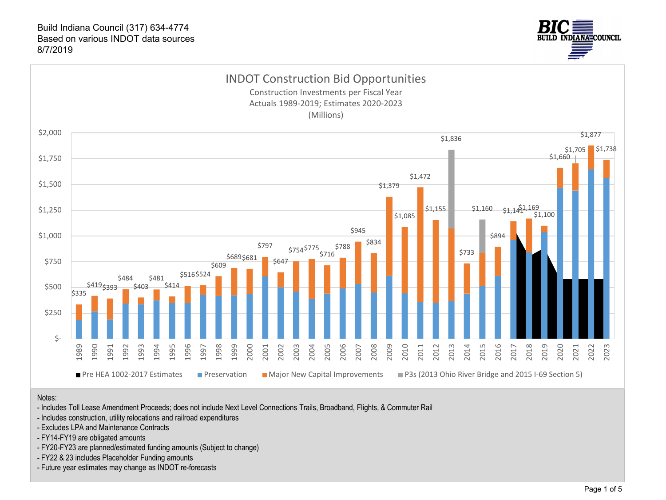



#### Notes:

- Includes Toll Lease Amendment Proceeds; does not include Next Level Connections Trails, Broadband, Flights, & Commuter Rail
- Includes construction, utility relocations and railroad expenditures
- Excludes LPA and Maintenance Contracts
- FY14-FY19 are obligated amounts
- FY20-FY23 are planned/estimated funding amounts (Subject to change)
- FY22 & 23 includes Placeholder Funding amounts
- Future year estimates may change as INDOT re-forecasts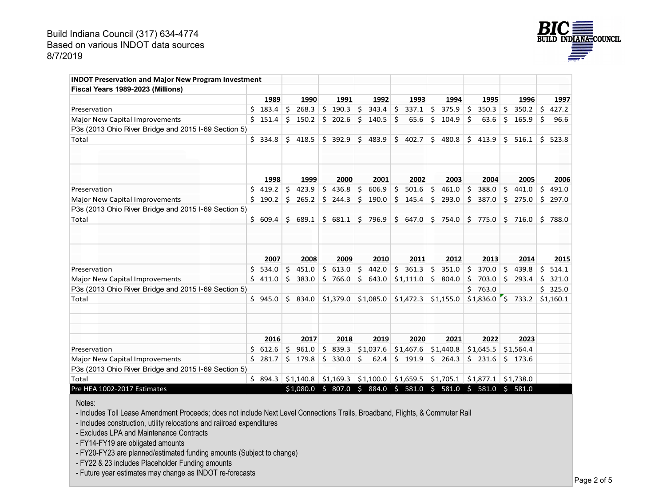![](_page_1_Picture_1.jpeg)

| <b>INDOT Preservation and Major New Program Investment</b> |     |         |            |           |    |           |                       |                                                       |    |           |    |                       |     |           |    |           |
|------------------------------------------------------------|-----|---------|------------|-----------|----|-----------|-----------------------|-------------------------------------------------------|----|-----------|----|-----------------------|-----|-----------|----|-----------|
| Fiscal Years 1989-2023 (Millions)                          |     |         |            |           |    |           |                       |                                                       |    |           |    |                       |     |           |    |           |
|                                                            |     | 1989    |            | 1990      |    | 1991      | 1992                  | 1993                                                  |    | 1994      |    | 1995                  |     | 1996      |    | 1997      |
| Preservation                                               | \$. | 183.4   | $\vert$ \$ | 268.3     |    | \$190.3   | $\zeta$<br>$343.4$ \$ | 337.1                                                 | \$ | 375.9     | \$ | 350.3                 | \$  | 350.2     | \$ | 427.2     |
| <b>Major New Capital Improvements</b>                      | Ś.  | 151.4   | Ś.         | 150.2     |    | \$202.6   | Ŝ.<br>140.5           | Ŝ.<br>65.6                                            | Ś. | 104.9     | Ś  | 63.6                  | \$. | 165.9     | \$ | 96.6      |
| P3s (2013 Ohio River Bridge and 2015 I-69 Section 5)       |     |         |            |           |    |           |                       |                                                       |    |           |    |                       |     |           |    |           |
| Total                                                      |     | \$334.8 | Ŝ.         | 418.5     |    | \$392.9   | \$<br>483.9           | Ś.<br>402.7                                           | \$ | 480.8     | \$ | 413.9                 | Ś.  | 516.1     | Ŝ. | 523.8     |
|                                                            |     |         |            |           |    |           |                       |                                                       |    |           |    |                       |     |           |    |           |
|                                                            |     | 1998    |            | 1999      |    | 2000      | 2001                  | 2002                                                  |    | 2003      |    | 2004                  |     | 2005      |    | 2006      |
| Preservation                                               | Ś.  | 419.2   | \$         | 423.9     | \$ | 436.8     | \$<br>606.9           | 5<br>501.6                                            | \$ | 461.0     | \$ | 388.0                 | \$  | 441.0     | \$ | 491.0     |
| Major New Capital Improvements                             | Ś.  | 190.2   | Ś          | 265.2     |    | $5$ 244.3 | Ś.<br>190.0           | Ŝ.<br>145.4                                           | Ŝ. | 293.0     | Ŝ. | 387.0                 | Ŝ.  | 275.0     | Ŝ. | 297.0     |
| P3s (2013 Ohio River Bridge and 2015 I-69 Section 5)       |     |         |            |           |    |           |                       |                                                       |    |           |    |                       |     |           |    |           |
| Total                                                      |     | \$609.4 | Ś.         | 689.1     |    | \$681.1   | \$<br>796.9           | \$647.0                                               |    | \$754.0   |    | \$775.0               |     | $5$ 716.0 |    | \$788.0   |
|                                                            |     | 2007    |            | 2008      |    | 2009      | 2010                  | 2011                                                  |    | 2012      |    | 2013                  |     | 2014      |    | 2015      |
| Preservation                                               | Ś.  | 534.0   | Ś.         | 451.0     | Ś. | 613.0     | Ŝ.<br>442.0           | Ś.<br>361.3                                           | \$ | 351.0     | Ś. | 370.0                 | \$  | 439.8     | Ś. | 514.1     |
| Major New Capital Improvements                             | Ś.  | 411.0   | Ś.         | 383.0     | Ś. | 766.0     | Ś.<br>643.0           | \$1,111.0                                             | \$ | 804.0     | Ś. | 703.0                 | Ŝ.  | 293.4     | Ś. | 321.0     |
| P3s (2013 Ohio River Bridge and 2015 I-69 Section 5)       |     |         |            |           |    |           |                       |                                                       |    |           | Ś. | 763.0                 |     |           |    | \$325.0   |
| Total                                                      |     | \$945.0 | Ś.         | 834.0     |    | \$1.379.0 | \$1,085.0             | \$1,472.3                                             |    | \$1.155.0 |    | $$1.836.0$ S          |     | 733.2     |    | \$1.160.1 |
|                                                            |     |         |            |           |    |           |                       |                                                       |    |           |    |                       |     |           |    |           |
|                                                            |     | 2016    |            | 2017      |    | 2018      | 2019                  | 2020                                                  |    | 2021      |    | 2022                  |     | 2023      |    |           |
| Preservation                                               | Ś.  | 612.6   | Ś.         | 961.0     | \$ | 839.3     | \$1,037.6             | \$1,467.6                                             |    | \$1,440.8 |    | \$1,645.5             |     | \$1,564.4 |    |           |
| Major New Capital Improvements                             | Ś.  | 281.7   | Ś.         | 179.8     |    | \$330.0   | Ŝ.<br>62.4            | \$191.9                                               |    | \$264.3   |    | $5$ 231.6             |     | \$173.6   |    |           |
| P3s (2013 Ohio River Bridge and 2015 I-69 Section 5)       |     |         |            |           |    |           |                       |                                                       |    |           |    |                       |     |           |    |           |
| Total                                                      |     | \$894.3 |            | \$1.140.8 |    |           |                       | $\vert$ \$1,169.3 \ \$1,100.0 \ \$1,659.5 \ \$1,705.1 |    |           |    | $$1,877.1$ $$1,738.0$ |     |           |    |           |
| Pre HEA 1002-2017 Estimates                                |     |         |            |           |    |           |                       | \$1,080.0 \$ 807.0 \$ 884.0 \$ 581.0 \$ 581.0         |    |           |    | \$581.0\$581.0        |     |           |    |           |

Notes:

- Includes Toll Lease Amendment Proceeds; does not include Next Level Connections Trails, Broadband, Flights, & Commuter Rail

- Includes construction, utility relocations and railroad expenditures

- Excludes LPA and Maintenance Contracts

- FY14-FY19 are obligated amounts

- FY20-FY23 are planned/estimated funding amounts (Subject to change)

- FY22 & 23 includes Placeholder Funding amounts

- Future year estimates may change as INDOT re-forecasts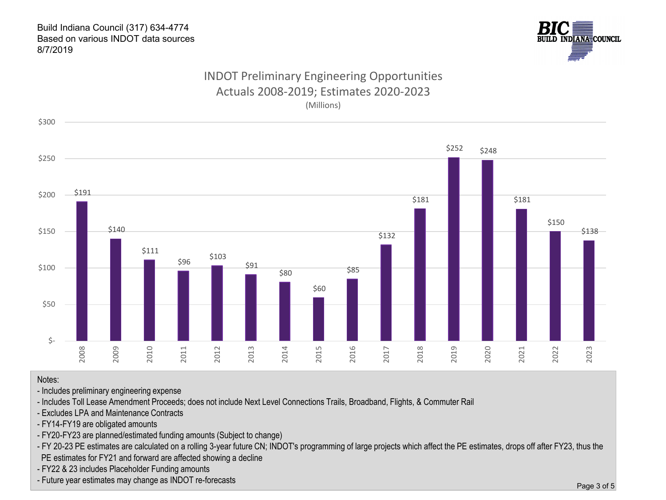![](_page_2_Picture_1.jpeg)

# INDOT Preliminary Engineering Opportunities Actuals 2008-2019; Estimates 2020-2023 (Millions)

![](_page_2_Figure_3.jpeg)

Notes:

- Includes preliminary engineering expense

- Includes Toll Lease Amendment Proceeds; does not include Next Level Connections Trails, Broadband, Flights, & Commuter Rail

- Excludes LPA and Maintenance Contracts

- FY14-FY19 are obligated amounts

- FY20-FY23 are planned/estimated funding amounts (Subject to change)
- FY 20-23 PE estimates are calculated on a rolling 3-year future CN; INDOT's programming of large projects which affect the PE estimates, drops off after FY23, thus the PE estimates for FY21 and forward are affected showing a decline
- FY22 & 23 includes Placeholder Funding amounts
- Future year estimates may change as INDOT re-forecasts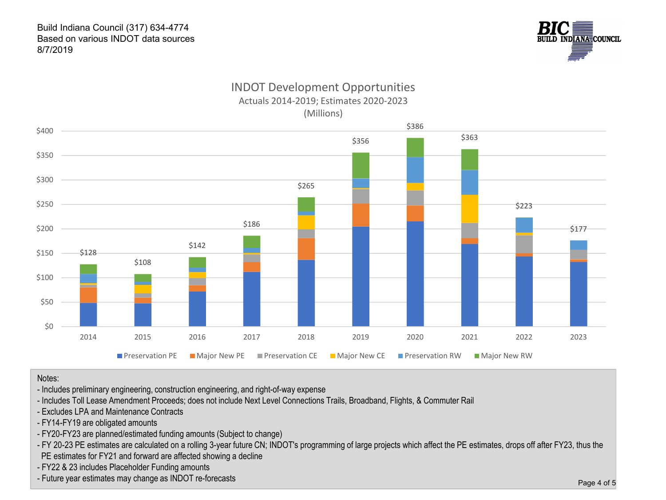![](_page_3_Picture_1.jpeg)

# INDOT Development Opportunities Actuals 2014-2019; Estimates 2020-2023 (Millions)

![](_page_3_Figure_3.jpeg)

Notes:

- Includes preliminary engineering, construction engineering, and right-of-way expense
- Includes Toll Lease Amendment Proceeds; does not include Next Level Connections Trails, Broadband, Flights, & Commuter Rail
- Excludes LPA and Maintenance Contracts
- FY14-FY19 are obligated amounts
- FY20-FY23 are planned/estimated funding amounts (Subject to change)
- FY 20-23 PE estimates are calculated on a rolling 3-year future CN; INDOT's programming of large projects which affect the PE estimates, drops off after FY23, thus the PE estimates for FY21 and forward are affected showing a decline
- FY22 & 23 includes Placeholder Funding amounts
- Future year estimates may change as INDOT re-forecasts